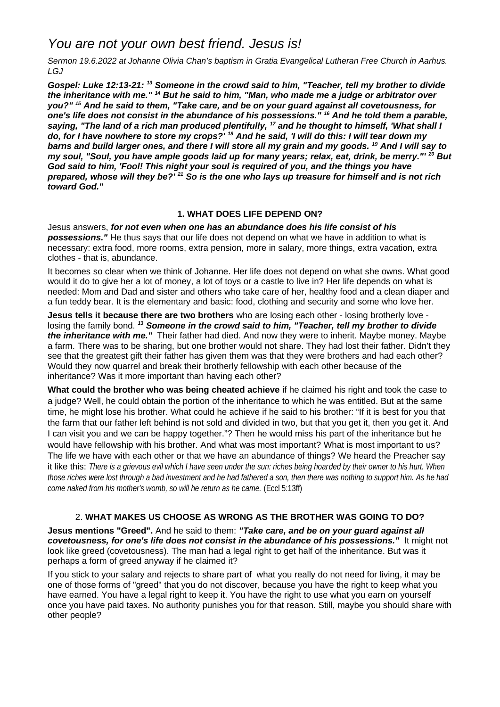## *You are not your own best friend. Jesus is!*

*Sermon 19.6.2022 at Johanne Olivia Chan's baptism in Gratia Evangelical Lutheran Free Church in Aarhus. LGJ*

*Gospel: Luke 12:13-21: <sup>13</sup> Someone in the crowd said to him, "Teacher, tell my brother to divide the inheritance with me." <sup>14</sup> But he said to him, "Man, who made me a judge or arbitrator over you?" <sup>15</sup> And he said to them, "Take care, and be on your guard against all covetousness, for one's life does not consist in the abundance of his possessions." <sup>16</sup> And he told them a parable, saying, "The land of a rich man produced plentifully, <sup>17</sup> and he thought to himself, 'What shall I do, for I have nowhere to store my crops?' <sup>18</sup> And he said, 'I will do this: I will tear down my barns and build larger ones, and there I will store all my grain and my goods. <sup>19</sup> And I will say to my soul, "Soul, you have ample goods laid up for many years; relax, eat, drink, be merry."' <sup>20</sup> But God said to him, 'Fool! This night your soul is required of you, and the things you have prepared, whose will they be?' <sup>21</sup> So is the one who lays up treasure for himself and is not rich toward God."*

## **1. WHAT DOES LIFE DEPEND ON?**

Jesus answers, *for not even when one has an abundance does his life consist of his possessions."* He thus says that our life does not depend on what we have in addition to what is necessary: extra food, more rooms, extra pension, more in salary, more things, extra vacation, extra clothes - that is, abundance.

It becomes so clear when we think of Johanne. Her life does not depend on what she owns. What good would it do to give her a lot of money, a lot of toys or a castle to live in? Her life depends on what is needed: Mom and Dad and sister and others who take care of her, healthy food and a clean diaper and a fun teddy bear. It is the elementary and basic: food, clothing and security and some who love her.

**Jesus tells it because there are two brothers** who are losing each other - losing brotherly love losing the family bond. *<sup>13</sup> Someone in the crowd said to him, "Teacher, tell my brother to divide the inheritance with me."* Their father had died. And now they were to inherit. Maybe money. Maybe a farm. There was to be sharing, but one brother would not share. They had lost their father. Didn't they see that the greatest gift their father has given them was that they were brothers and had each other? Would they now quarrel and break their brotherly fellowship with each other because of the inheritance? Was it more important than having each other?

**What could the brother who was being cheated achieve** if he claimed his right and took the case to a judge? Well, he could obtain the portion of the inheritance to which he was entitled. But at the same time, he might lose his brother. What could he achieve if he said to his brother: "If it is best for you that the farm that our father left behind is not sold and divided in two, but that you get it, then you get it. And I can visit you and we can be happy together."? Then he would miss his part of the inheritance but he would have fellowship with his brother. And what was most important? What is most important to us? The life we have with each other or that we have an abundance of things? We heard the Preacher say it like this: *There is a grievous evil which I have seen under the sun: riches being hoarded by their owner to his hurt. When those riches were lost through a bad investment and he had fathered a son, then there was nothing to support him. As he had come naked from his mother's womb, so will he return as he came.* (Eccl 5:13ff)

## 2. **WHAT MAKES US CHOOSE AS WRONG AS THE BROTHER WAS GOING TO DO?**

**Jesus mentions "Greed".** And he said to them: *"Take care, and be on your guard against all covetousness, for one's life does not consist in the abundance of his possessions."* It might not look like greed (covetousness). The man had a legal right to get half of the inheritance. But was it perhaps a form of greed anyway if he claimed it?

If you stick to your salary and rejects to share part of what you really do not need for living, it may be one of those forms of "greed" that you do not discover, because you have the right to keep what you have earned. You have a legal right to keep it. You have the right to use what you earn on yourself once you have paid taxes. No authority punishes you for that reason. Still, maybe you should share with other people?